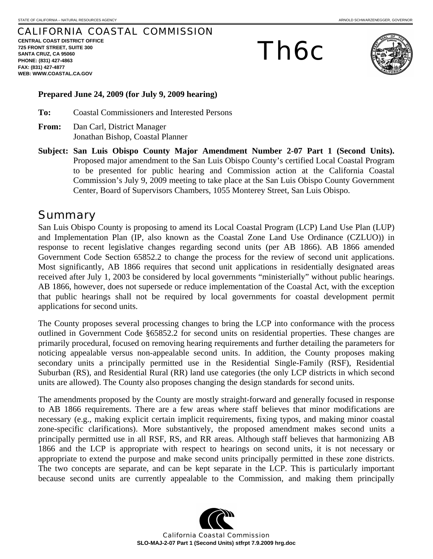## CALIFORNIA COASTAL COMMISSION

**CENTRAL COAST DISTRICT OFFICE 725 FRONT STREET, SUITE 300 SANTA CRUZ, CA 95060 PHONE: (831) 427-4863 FAX: (831) 427-4877 WEB: WWW.COASTAL.CA.GOV**

# Th6c



#### **Prepared June 24, 2009 (for July 9, 2009 hearing)**

**To:** Coastal Commissioners and Interested Persons

- **From:** Dan Carl, District Manager Jonathan Bishop, Coastal Planner
- **Subject: San Luis Obispo County Major Amendment Number 2-07 Part 1 (Second Units).**  Proposed major amendment to the San Luis Obispo County's certified Local Coastal Program to be presented for public hearing and Commission action at the California Coastal Commission's July 9, 2009 meeting to take place at the San Luis Obispo County Government Center, Board of Supervisors Chambers, 1055 Monterey Street, San Luis Obispo.

# **Summary**

San Luis Obispo County is proposing to amend its Local Coastal Program (LCP) Land Use Plan (LUP) and Implementation Plan (IP, also known as the Coastal Zone Land Use Ordinance (CZLUO)) in response to recent legislative changes regarding second units (per AB 1866). AB 1866 amended Government Code Section 65852.2 to change the process for the review of second unit applications. Most significantly, AB 1866 requires that second unit applications in residentially designated areas received after July 1, 2003 be considered by local governments "ministerially" without public hearings. AB 1866, however, does not supersede or reduce implementation of the Coastal Act, with the exception that public hearings shall not be required by local governments for coastal development permit applications for second units.

The County proposes several processing changes to bring the LCP into conformance with the process outlined in Government Code §65852.2 for second units on residential properties. These changes are primarily procedural, focused on removing hearing requirements and further detailing the parameters for noticing appealable versus non-appealable second units. In addition, the County proposes making secondary units a principally permitted use in the Residential Single-Family (RSF), Residential Suburban (RS), and Residential Rural (RR) land use categories (the only LCP districts in which second units are allowed). The County also proposes changing the design standards for second units.

The amendments proposed by the County are mostly straight-forward and generally focused in response to AB 1866 requirements. There are a few areas where staff believes that minor modifications are necessary (e.g., making explicit certain implicit requirements, fixing typos, and making minor coastal zone-specific clarifications). More substantively, the proposed amendment makes second units a principally permitted use in all RSF, RS, and RR areas. Although staff believes that harmonizing AB 1866 and the LCP is appropriate with respect to hearings on second units, it is not necessary or appropriate to extend the purpose and make second units principally permitted in these zone districts. The two concepts are separate, and can be kept separate in the LCP. This is particularly important because second units are currently appealable to the Commission, and making them principally

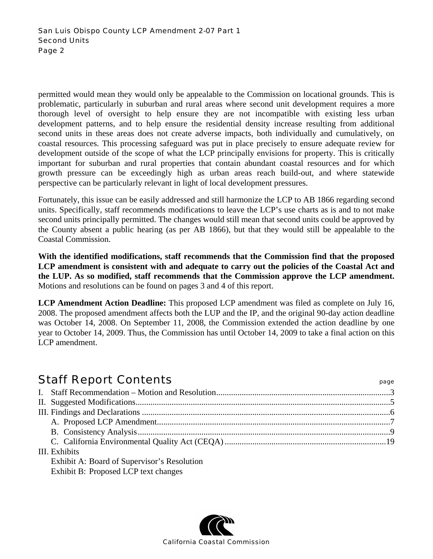permitted would mean they would only be appealable to the Commission on locational grounds. This is problematic, particularly in suburban and rural areas where second unit development requires a more thorough level of oversight to help ensure they are not incompatible with existing less urban development patterns, and to help ensure the residential density increase resulting from additional second units in these areas does not create adverse impacts, both individually and cumulatively, on coastal resources. This processing safeguard was put in place precisely to ensure adequate review for development outside of the scope of what the LCP principally envisions for property. This is critically important for suburban and rural properties that contain abundant coastal resources and for which growth pressure can be exceedingly high as urban areas reach build-out, and where statewide perspective can be particularly relevant in light of local development pressures.

Fortunately, this issue can be easily addressed and still harmonize the LCP to AB 1866 regarding second units. Specifically, staff recommends modifications to leave the LCP's use charts as is and to not make second units principally permitted. The changes would still mean that second units could be approved by the County absent a public hearing (as per AB 1866), but that they would still be appealable to the Coastal Commission.

**With the identified modifications, staff recommends that the Commission find that the proposed LCP amendment is consistent with and adequate to carry out the policies of the Coastal Act and the LUP. As so modified, staff recommends that the Commission approve the LCP amendment.**  Motions and resolutions can be found on pages 3 and 4 of this report.

**LCP Amendment Action Deadline:** This proposed LCP amendment was filed as complete on July 16, 2008. The proposed amendment affects both the LUP and the IP, and the original 90-day action deadline was October 14, 2008. On September 11, 2008, the Commission extended the action deadline by one year to October 14, 2009. Thus, the Commission has until October 14, 2009 to take a final action on this LCP amendment.

# Staff Report Contents **Staff Report Contents**

| III. Exhibits |                                             |  |  |
|---------------|---------------------------------------------|--|--|
|               | Exhibit A: Board of Supervisor's Resolution |  |  |
|               | Exhibit B: Proposed LCP text changes        |  |  |

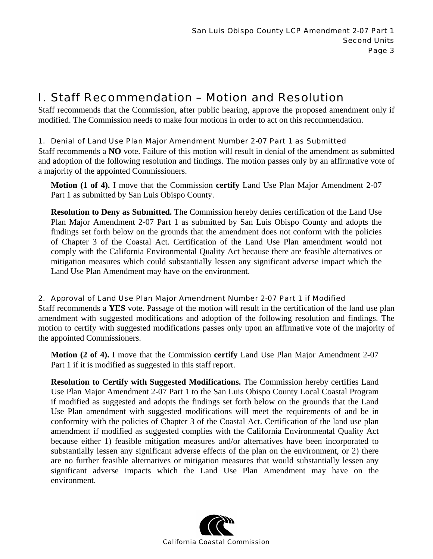# I. Staff Recommendation – Motion and Resolution

Staff recommends that the Commission, after public hearing, approve the proposed amendment only if modified. The Commission needs to make four motions in order to act on this recommendation.

## 1. Denial of Land Use Plan Major Amendment Number 2-07 Part 1 as Submitted

Staff recommends a **NO** vote. Failure of this motion will result in denial of the amendment as submitted and adoption of the following resolution and findings. The motion passes only by an affirmative vote of a majority of the appointed Commissioners.

**Motion (1 of 4).** I move that the Commission **certify** Land Use Plan Major Amendment 2-07 Part 1 as submitted by San Luis Obispo County.

**Resolution to Deny as Submitted.** The Commission hereby denies certification of the Land Use Plan Major Amendment 2-07 Part 1 as submitted by San Luis Obispo County and adopts the findings set forth below on the grounds that the amendment does not conform with the policies of Chapter 3 of the Coastal Act. Certification of the Land Use Plan amendment would not comply with the California Environmental Quality Act because there are feasible alternatives or mitigation measures which could substantially lessen any significant adverse impact which the Land Use Plan Amendment may have on the environment.

## 2. Approval of Land Use Plan Major Amendment Number 2-07 Part 1 if Modified

Staff recommends a **YES** vote. Passage of the motion will result in the certification of the land use plan amendment with suggested modifications and adoption of the following resolution and findings. The motion to certify with suggested modifications passes only upon an affirmative vote of the majority of the appointed Commissioners.

**Motion (2 of 4).** I move that the Commission **certify** Land Use Plan Major Amendment 2-07 Part 1 if it is modified as suggested in this staff report.

**Resolution to Certify with Suggested Modifications.** The Commission hereby certifies Land Use Plan Major Amendment 2-07 Part 1 to the San Luis Obispo County Local Coastal Program if modified as suggested and adopts the findings set forth below on the grounds that the Land Use Plan amendment with suggested modifications will meet the requirements of and be in conformity with the policies of Chapter 3 of the Coastal Act. Certification of the land use plan amendment if modified as suggested complies with the California Environmental Quality Act because either 1) feasible mitigation measures and/or alternatives have been incorporated to substantially lessen any significant adverse effects of the plan on the environment, or 2) there are no further feasible alternatives or mitigation measures that would substantially lessen any significant adverse impacts which the Land Use Plan Amendment may have on the environment.

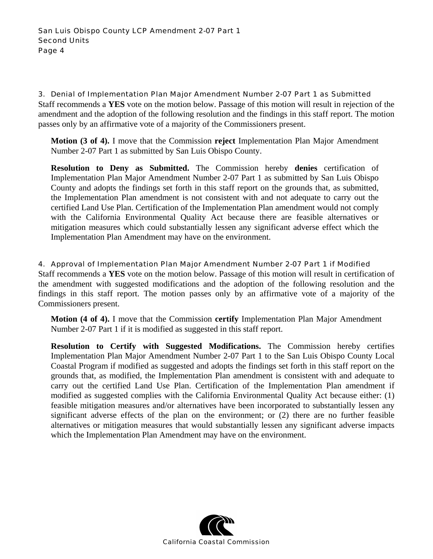3. Denial of Implementation Plan Major Amendment Number 2-07 Part 1 as Submitted Staff recommends a **YES** vote on the motion below. Passage of this motion will result in rejection of the amendment and the adoption of the following resolution and the findings in this staff report. The motion passes only by an affirmative vote of a majority of the Commissioners present.

**Motion (3 of 4).** I move that the Commission **reject** Implementation Plan Major Amendment Number 2-07 Part 1 as submitted by San Luis Obispo County.

**Resolution to Deny as Submitted.** The Commission hereby **denies** certification of Implementation Plan Major Amendment Number 2-07 Part 1 as submitted by San Luis Obispo County and adopts the findings set forth in this staff report on the grounds that, as submitted, the Implementation Plan amendment is not consistent with and not adequate to carry out the certified Land Use Plan. Certification of the Implementation Plan amendment would not comply with the California Environmental Quality Act because there are feasible alternatives or mitigation measures which could substantially lessen any significant adverse effect which the Implementation Plan Amendment may have on the environment.

#### 4. Approval of Implementation Plan Major Amendment Number 2-07 Part 1 if Modified

Staff recommends a **YES** vote on the motion below. Passage of this motion will result in certification of the amendment with suggested modifications and the adoption of the following resolution and the findings in this staff report. The motion passes only by an affirmative vote of a majority of the Commissioners present.

**Motion (4 of 4).** I move that the Commission **certify** Implementation Plan Major Amendment Number 2-07 Part 1 if it is modified as suggested in this staff report.

**Resolution to Certify with Suggested Modifications.** The Commission hereby certifies Implementation Plan Major Amendment Number 2-07 Part 1 to the San Luis Obispo County Local Coastal Program if modified as suggested and adopts the findings set forth in this staff report on the grounds that, as modified, the Implementation Plan amendment is consistent with and adequate to carry out the certified Land Use Plan. Certification of the Implementation Plan amendment if modified as suggested complies with the California Environmental Quality Act because either: (1) feasible mitigation measures and/or alternatives have been incorporated to substantially lessen any significant adverse effects of the plan on the environment; or (2) there are no further feasible alternatives or mitigation measures that would substantially lessen any significant adverse impacts which the Implementation Plan Amendment may have on the environment.

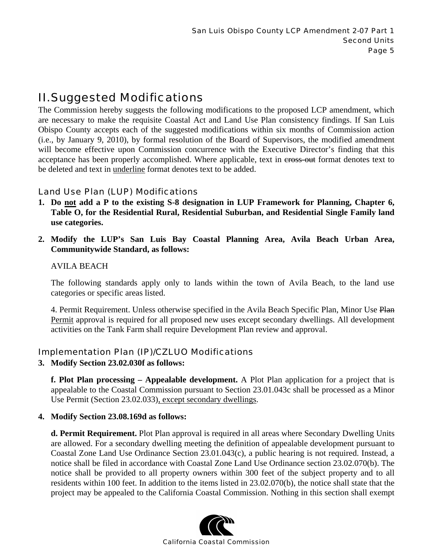# II. Suggested Modifications

The Commission hereby suggests the following modifications to the proposed LCP amendment, which are necessary to make the requisite Coastal Act and Land Use Plan consistency findings. If San Luis Obispo County accepts each of the suggested modifications within six months of Commission action (i.e., by January 9, 2010), by formal resolution of the Board of Supervisors, the modified amendment will become effective upon Commission concurrence with the Executive Director's finding that this acceptance has been properly accomplished. Where applicable, text in cross-out format denotes text to be deleted and text in underline format denotes text to be added.

## Land Use Plan (LUP) Modifications

- **1. Do not add a P to the existing S-8 designation in LUP Framework for Planning, Chapter 6, Table O, for the Residential Rural, Residential Suburban, and Residential Single Family land use categories.**
- **2. Modify the LUP's San Luis Bay Coastal Planning Area, Avila Beach Urban Area, Communitywide Standard, as follows:**

## AVILA BEACH

The following standards apply only to lands within the town of Avila Beach, to the land use categories or specific areas listed.

4. Permit Requirement. Unless otherwise specified in the Avila Beach Specific Plan, Minor Use Plan Permit approval is required for all proposed new uses except secondary dwellings. All development activities on the Tank Farm shall require Development Plan review and approval.

## Implementation Plan (IP)/CZLUO Modifications

**3. Modify Section 23.02.030f as follows:** 

**f. Plot Plan processing – Appealable development.** A Plot Plan application for a project that is appealable to the Coastal Commission pursuant to Section 23.01.043c shall be processed as a Minor Use Permit (Section 23.02.033), except secondary dwellings.

## **4. Modify Section 23.08.169d as follows:**

**d. Permit Requirement.** Plot Plan approval is required in all areas where Secondary Dwelling Units are allowed. For a secondary dwelling meeting the definition of appealable development pursuant to Coastal Zone Land Use Ordinance Section 23.01.043(c), a public hearing is not required. Instead, a notice shall be filed in accordance with Coastal Zone Land Use Ordinance section 23.02.070(b). The notice shall be provided to all property owners within 300 feet of the subject property and to all residents within 100 feet. In addition to the items listed in 23.02.070(b), the notice shall state that the project may be appealed to the California Coastal Commission. Nothing in this section shall exempt

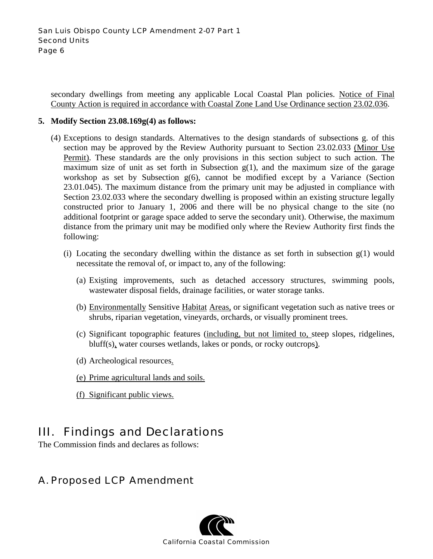secondary dwellings from meeting any applicable Local Coastal Plan policies. Notice of Final County Action is required in accordance with Coastal Zone Land Use Ordinance section 23.02.036.

#### **5. Modify Section 23.08.169g(4) as follows:**

- (4) Exceptions to design standards. Alternatives to the design standards of subsections g. of this section may be approved by the Review Authority pursuant to Section 23.02.033 (Minor Use Permit). These standards are the only provisions in this section subject to such action. The maximum size of unit as set forth in Subsection  $g(1)$ , and the maximum size of the garage workshop as set by Subsection  $g(6)$ , cannot be modified except by a Variance (Section 23.01.045). The maximum distance from the primary unit may be adjusted in compliance with Section 23.02.033 where the secondary dwelling is proposed within an existing structure legally constructed prior to January 1, 2006 and there will be no physical change to the site (no additional footprint or garage space added to serve the secondary unit). Otherwise, the maximum distance from the primary unit may be modified only where the Review Authority first finds the following:
	- (i) Locating the secondary dwelling within the distance as set forth in subsection  $g(1)$  would necessitate the removal of, or impact to, any of the following:
		- (a) Existing improvements, such as detached accessory structures, swimming pools, wastewater disposal fields, drainage facilities, or water storage tanks.
		- (b) Environmentally Sensitive Habitat Areas, or significant vegetation such as native trees or shrubs, riparian vegetation, vineyards, orchards, or visually prominent trees.
		- (c) Significant topographic features (including, but not limited to, steep slopes, ridgelines, bluff(s), water courses wetlands, lakes or ponds, or rocky outcrops).
		- (d) Archeological resources.
		- (e) Prime agricultural lands and soils.
		- (f) Significant public views.

# III. Findings and Declarations

The Commission finds and declares as follows:

# A. Proposed LCP Amendment

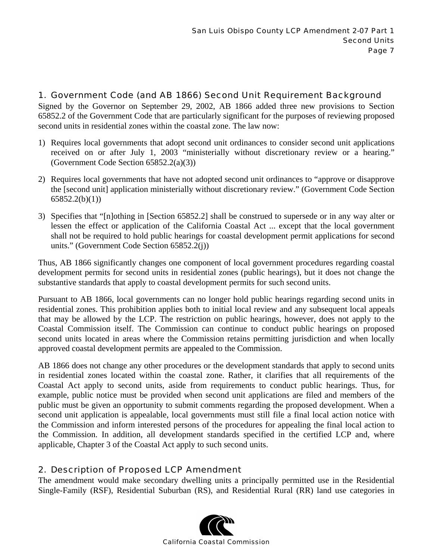## 1. Government Code (and AB 1866) Second Unit Requirement Background

Signed by the Governor on September 29, 2002, AB 1866 added three new provisions to Section 65852.2 of the Government Code that are particularly significant for the purposes of reviewing proposed second units in residential zones within the coastal zone. The law now:

- 1) Requires local governments that adopt second unit ordinances to consider second unit applications received on or after July 1, 2003 "ministerially without discretionary review or a hearing." (Government Code Section 65852.2(a)(3))
- 2) Requires local governments that have not adopted second unit ordinances to "approve or disapprove the [second unit] application ministerially without discretionary review." (Government Code Section 65852.2(b)(1))
- 3) Specifies that "[n]othing in [Section 65852.2] shall be construed to supersede or in any way alter or lessen the effect or application of the California Coastal Act ... except that the local government shall not be required to hold public hearings for coastal development permit applications for second units." (Government Code Section 65852.2(j))

Thus, AB 1866 significantly changes one component of local government procedures regarding coastal development permits for second units in residential zones (public hearings), but it does not change the substantive standards that apply to coastal development permits for such second units.

Pursuant to AB 1866, local governments can no longer hold public hearings regarding second units in residential zones. This prohibition applies both to initial local review and any subsequent local appeals that may be allowed by the LCP. The restriction on public hearings, however, does not apply to the Coastal Commission itself. The Commission can continue to conduct public hearings on proposed second units located in areas where the Commission retains permitting jurisdiction and when locally approved coastal development permits are appealed to the Commission.

AB 1866 does not change any other procedures or the development standards that apply to second units in residential zones located within the coastal zone. Rather, it clarifies that all requirements of the Coastal Act apply to second units, aside from requirements to conduct public hearings. Thus, for example, public notice must be provided when second unit applications are filed and members of the public must be given an opportunity to submit comments regarding the proposed development. When a second unit application is appealable, local governments must still file a final local action notice with the Commission and inform interested persons of the procedures for appealing the final local action to the Commission. In addition, all development standards specified in the certified LCP and, where applicable, Chapter 3 of the Coastal Act apply to such second units.

## 2. Description of Proposed LCP Amendment

The amendment would make secondary dwelling units a principally permitted use in the Residential Single-Family (RSF), Residential Suburban (RS), and Residential Rural (RR) land use categories in

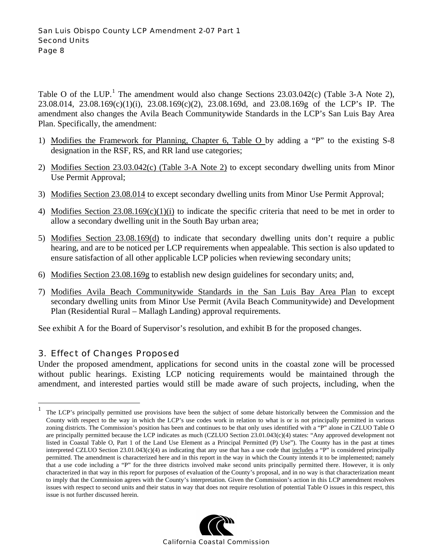Table O of the LUP.<sup>[1](#page-7-0)</sup> The amendment would also change Sections  $23.03.042(c)$  (Table 3-A Note 2), 23.08.014, 23.08.169(c)(1)(i), 23.08.169(c)(2), 23.08.169d, and 23.08.169g of the LCP's IP. The amendment also changes the Avila Beach Communitywide Standards in the LCP's San Luis Bay Area Plan. Specifically, the amendment:

- 1) Modifies the Framework for Planning, Chapter 6, Table O by adding a "P" to the existing S-8 designation in the RSF, RS, and RR land use categories;
- 2) Modifies Section 23.03.042(c) (Table 3-A Note 2) to except secondary dwelling units from Minor Use Permit Approval;
- 3) Modifies Section 23.08.014 to except secondary dwelling units from Minor Use Permit Approval;
- 4) Modifies Section 23.08.169(c)(1)(i) to indicate the specific criteria that need to be met in order to allow a secondary dwelling unit in the South Bay urban area;
- 5) Modifies Section 23.08.169(d) to indicate that secondary dwelling units don't require a public hearing, and are to be noticed per LCP requirements when appealable. This section is also updated to ensure satisfaction of all other applicable LCP policies when reviewing secondary units;
- 6) Modifies Section 23.08.169g to establish new design guidelines for secondary units; and,
- 7) Modifies Avila Beach Communitywide Standards in the San Luis Bay Area Plan to except secondary dwelling units from Minor Use Permit (Avila Beach Communitywide) and Development Plan (Residential Rural – Mallagh Landing) approval requirements.

See exhibit A for the Board of Supervisor's resolution, and exhibit B for the proposed changes.

## 3. Effect of Changes Proposed

<u>.</u>

Under the proposed amendment, applications for second units in the coastal zone will be processed without public hearings. Existing LCP noticing requirements would be maintained through the amendment, and interested parties would still be made aware of such projects, including, when the

<span id="page-7-0"></span><sup>1</sup> The LCP's principally permitted use provisions have been the subject of some debate historically between the Commission and the County with respect to the way in which the LCP's use codes work in relation to what is or is not principally permitted in various zoning districts. The Commission's position has been and continues to be that only uses identified with a "P" alone in CZLUO Table O are principally permitted because the LCP indicates as much (CZLUO Section 23.01.043(c)(4) states: "Any approved development not listed in Coastal Table O, Part 1 of the Land Use Element as a Principal Permitted (P) Use"). The County has in the past at times interpreted CZLUO Section 23.01.043(c)(4) as indicating that any use that has a use code that includes a "P" is considered principally permitted. The amendment is characterized here and in this report in the way in which the County intends it to be implemented; namely that a use code including a "P" for the three districts involved make second units principally permitted there. However, it is only characterized in that way in this report for purposes of evaluation of the County's proposal, and in no way is that characterization meant to imply that the Commission agrees with the County's interpretation. Given the Commission's action in this LCP amendment resolves issues with respect to second units and their status in way that does not require resolution of potential Table O issues in this respect, this issue is not further discussed herein.

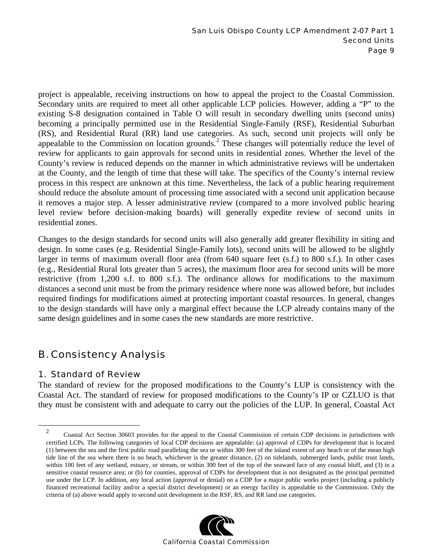project is appealable, receiving instructions on how to appeal the project to the Coastal Commission. Secondary units are required to meet all other applicable LCP policies. However, adding a "P" to the existing S-8 designation contained in Table O will result in secondary dwelling units (second units) becoming a principally permitted use in the Residential Single-Family (RSF), Residential Suburban (RS), and Residential Rural (RR) land use categories. As such, second unit projects will only be appealable to the Commission on location grounds.<sup>[2](#page-8-0)</sup> These changes will potentially reduce the level of review for applicants to gain approvals for second units in residential zones. Whether the level of the County's review is reduced depends on the manner in which administrative reviews will be undertaken at the County, and the length of time that these will take. The specifics of the County's internal review process in this respect are unknown at this time. Nevertheless, the lack of a public hearing requirement should reduce the absolute amount of processing time associated with a second unit application because it removes a major step. A lesser administrative review (compared to a more involved public hearing level review before decision-making boards) will generally expedite review of second units in residential zones.

Changes to the design standards for second units will also generally add greater flexibility in siting and design. In some cases (e.g. Residential Single-Family lots), second units will be allowed to be slightly larger in terms of maximum overall floor area (from 640 square feet (s.f.) to 800 s.f.). In other cases (e.g., Residential Rural lots greater than 5 acres), the maximum floor area for second units will be more restrictive (from 1,200 s.f. to 800 s.f.). The ordinance allows for modifications to the maximum distances a second unit must be from the primary residence where none was allowed before, but includes required findings for modifications aimed at protecting important coastal resources. In general, changes to the design standards will have only a marginal effect because the LCP already contains many of the same design guidelines and in some cases the new standards are more restrictive.

# B. Consistency Analysis

## 1. Standard of Review

The standard of review for the proposed modifications to the County's LUP is consistency with the Coastal Act. The standard of review for proposed modifications to the County's IP or CZLUO is that they must be consistent with and adequate to carry out the policies of the LUP. In general, Coastal Act

<span id="page-8-0"></span> <sup>2</sup> Coastal Act Section 30603 provides for the appeal to the Coastal Commission of certain CDP decisions in jurisdictions with certified LCPs. The following categories of local CDP decisions are appealable: (a) approval of CDPs for development that is located (1) between the sea and the first public road paralleling the sea or within 300 feet of the inland extent of any beach or of the mean high tide line of the sea where there is no beach, whichever is the greater distance, (2) on tidelands, submerged lands, public trust lands, within 100 feet of any wetland, estuary, or stream, or within 300 feet of the top of the seaward face of any coastal bluff, and (3) in a sensitive coastal resource area; or (b) for counties, approval of CDPs for development that is not designated as the principal permitted use under the LCP. In addition, any local action (approval or denial) on a CDP for a major public works project (including a publicly financed recreational facility and/or a special district development) or an energy facility is appealable to the Commission. Only the criteria of (a) above would apply to second unit development in the RSF, RS, and RR land use categories.

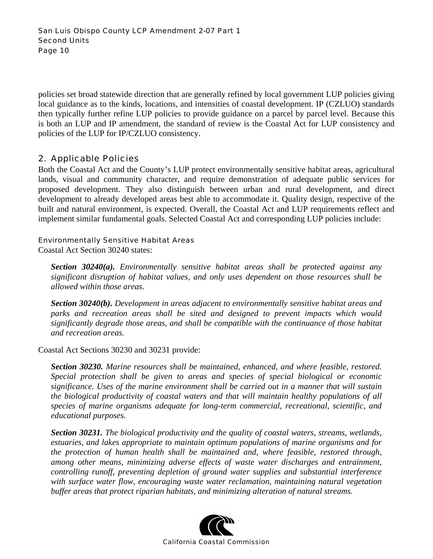policies set broad statewide direction that are generally refined by local government LUP policies giving local guidance as to the kinds, locations, and intensities of coastal development. IP (CZLUO) standards then typically further refine LUP policies to provide guidance on a parcel by parcel level. Because this is both an LUP and IP amendment, the standard of review is the Coastal Act for LUP consistency and policies of the LUP for IP/CZLUO consistency.

## 2. Applicable Policies

Both the Coastal Act and the County's LUP protect environmentally sensitive habitat areas, agricultural lands, visual and community character, and require demonstration of adequate public services for proposed development. They also distinguish between urban and rural development, and direct development to already developed areas best able to accommodate it. Quality design, respective of the built and natural environment, is expected. Overall, the Coastal Act and LUP requirements reflect and implement similar fundamental goals. Selected Coastal Act and corresponding LUP policies include:

#### Environmentally Sensitive Habitat Areas

Coastal Act Section 30240 states:

*Section 30240(a). Environmentally sensitive habitat areas shall be protected against any significant disruption of habitat values, and only uses dependent on those resources shall be allowed within those areas.* 

*Section 30240(b). Development in areas adjacent to environmentally sensitive habitat areas and parks and recreation areas shall be sited and designed to prevent impacts which would significantly degrade those areas, and shall be compatible with the continuance of those habitat and recreation areas.* 

Coastal Act Sections 30230 and 30231 provide:

*Section 30230. Marine resources shall be maintained, enhanced, and where feasible, restored. Special protection shall be given to areas and species of special biological or economic significance. Uses of the marine environment shall be carried out in a manner that will sustain the biological productivity of coastal waters and that will maintain healthy populations of all species of marine organisms adequate for long-term commercial, recreational, scientific, and educational purposes.* 

*Section 30231. The biological productivity and the quality of coastal waters, streams, wetlands, estuaries, and lakes appropriate to maintain optimum populations of marine organisms and for the protection of human health shall be maintained and, where feasible, restored through, among other means, minimizing adverse effects of waste water discharges and entrainment, controlling runoff, preventing depletion of ground water supplies and substantial interference with surface water flow, encouraging waste water reclamation, maintaining natural vegetation buffer areas that protect riparian habitats, and minimizing alteration of natural streams.* 

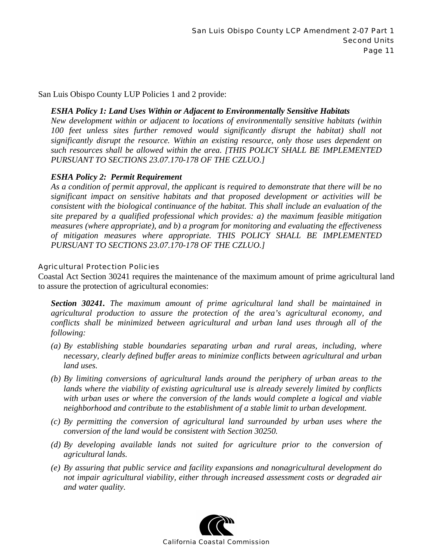San Luis Obispo County LUP Policies 1 and 2 provide:

#### *ESHA Policy 1: Land Uses Within or Adjacent to Environmentally Sensitive Habitats*

*New development within or adjacent to locations of environmentally sensitive habitats (within 100 feet unless sites further removed would significantly disrupt the habitat) shall not significantly disrupt the resource. Within an existing resource, only those uses dependent on such resources shall be allowed within the area. [THIS POLICY SHALL BE IMPLEMENTED PURSUANT TO SECTIONS 23.07.170-178 OF THE CZLUO.]* 

#### *ESHA Policy 2: Permit Requirement*

*As a condition of permit approval, the applicant is required to demonstrate that there will be no significant impact on sensitive habitats and that proposed development or activities will be consistent with the biological continuance of the habitat. This shall include an evaluation of the site prepared by a qualified professional which provides: a) the maximum feasible mitigation measures (where appropriate), and b) a program for monitoring and evaluating the effectiveness of mitigation measures where appropriate. THIS POLICY SHALL BE IMPLEMENTED PURSUANT TO SECTIONS 23.07.170-178 OF THE CZLUO.]* 

#### Agricultural Protection Policies

Coastal Act Section 30241 requires the maintenance of the maximum amount of prime agricultural land to assure the protection of agricultural economies:

*Section 30241. The maximum amount of prime agricultural land shall be maintained in agricultural production to assure the protection of the area's agricultural economy, and conflicts shall be minimized between agricultural and urban land uses through all of the following:* 

- *(a) By establishing stable boundaries separating urban and rural areas, including, where necessary, clearly defined buffer areas to minimize conflicts between agricultural and urban land uses.*
- *(b) By limiting conversions of agricultural lands around the periphery of urban areas to the lands where the viability of existing agricultural use is already severely limited by conflicts with urban uses or where the conversion of the lands would complete a logical and viable neighborhood and contribute to the establishment of a stable limit to urban development.*
- *(c) By permitting the conversion of agricultural land surrounded by urban uses where the conversion of the land would be consistent with Section 30250.*
- *(d) By developing available lands not suited for agriculture prior to the conversion of agricultural lands.*
- *(e) By assuring that public service and facility expansions and nonagricultural development do not impair agricultural viability, either through increased assessment costs or degraded air and water quality.*

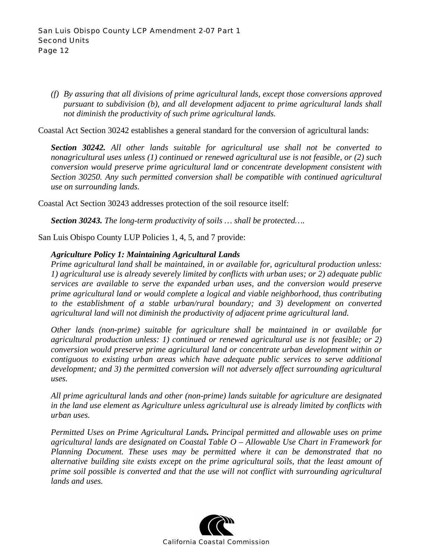*(f) By assuring that all divisions of prime agricultural lands, except those conversions approved pursuant to subdivision (b), and all development adjacent to prime agricultural lands shall not diminish the productivity of such prime agricultural lands.* 

Coastal Act Section 30242 establishes a general standard for the conversion of agricultural lands:

*Section 30242. All other lands suitable for agricultural use shall not be converted to nonagricultural uses unless (1) continued or renewed agricultural use is not feasible, or (2) such conversion would preserve prime agricultural land or concentrate development consistent with Section 30250. Any such permitted conversion shall be compatible with continued agricultural use on surrounding lands.*

Coastal Act Section 30243 addresses protection of the soil resource itself:

*Section 30243. The long-term productivity of soils … shall be protected….* 

San Luis Obispo County LUP Policies 1, 4, 5, and 7 provide:

#### *Agriculture Policy 1: Maintaining Agricultural Lands*

*Prime agricultural land shall be maintained, in or available for, agricultural production unless: 1) agricultural use is already severely limited by conflicts with urban uses; or 2) adequate public services are available to serve the expanded urban uses, and the conversion would preserve prime agricultural land or would complete a logical and viable neighborhood, thus contributing to the establishment of a stable urban/rural boundary; and 3) development on converted agricultural land will not diminish the productivity of adjacent prime agricultural land.* 

*Other lands (non-prime) suitable for agriculture shall be maintained in or available for agricultural production unless: 1) continued or renewed agricultural use is not feasible; or 2) conversion would preserve prime agricultural land or concentrate urban development within or contiguous to existing urban areas which have adequate public services to serve additional development; and 3) the permitted conversion will not adversely affect surrounding agricultural uses.* 

*All prime agricultural lands and other (non-prime) lands suitable for agriculture are designated in the land use element as Agriculture unless agricultural use is already limited by conflicts with urban uses.* 

*Permitted Uses on Prime Agricultural Lands. Principal permitted and allowable uses on prime agricultural lands are designated on Coastal Table O – Allowable Use Chart in Framework for Planning Document. These uses may be permitted where it can be demonstrated that no alternative building site exists except on the prime agricultural soils, that the least amount of prime soil possible is converted and that the use will not conflict with surrounding agricultural lands and uses.* 

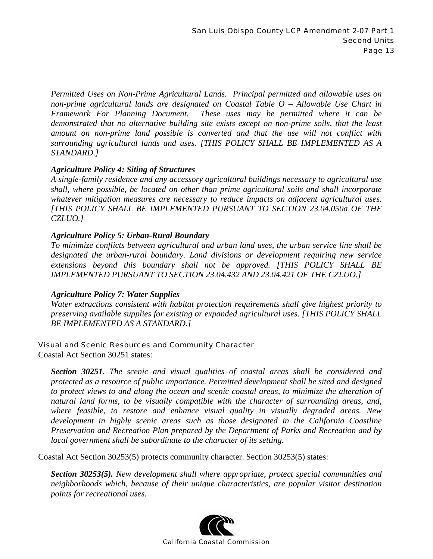*Permitted Uses on Non-Prime Agricultural Lands. Principal permitted and allowable uses on non-prime agricultural lands are designated on Coastal Table O – Allowable Use Chart in Framework For Planning Document. These uses may be permitted where it can be demonstrated that no alternative building site exists except on non-prime soils, that the least amount on non-prime land possible is converted and that the use will not conflict with surrounding agricultural lands and uses. [THIS POLICY SHALL BE IMPLEMENTED AS A STANDARD.]* 

#### *Agriculture Policy 4: Siting of Structures*

*A single-family residence and any accessory agricultural buildings necessary to agricultural use shall, where possible, be located on other than prime agricultural soils and shall incorporate whatever mitigation measures are necessary to reduce impacts on adjacent agricultural uses. [THIS POLICY SHALL BE IMPLEMENTED PURSUANT TO SECTION 23.04.050a OF THE CZLUO.]* 

#### *Agriculture Policy 5: Urban-Rural Boundary*

*To minimize conflicts between agricultural and urban land uses, the urban service line shall be designated the urban-rural boundary. Land divisions or development requiring new service extensions beyond this boundary shall not be approved. [THIS POLICY SHALL BE IMPLEMENTED PURSUANT TO SECTION 23.04.432 AND 23.04.421 OF THE CZLUO.]* 

## *Agriculture Policy 7: Water Supplies*

*Water extractions consistent with habitat protection requirements shall give highest priority to preserving available supplies for existing or expanded agricultural uses. [THIS POLICY SHALL BE IMPLEMENTED AS A STANDARD.]* 

#### Visual and Scenic Resources and Community Character

Coastal Act Section 30251 states:

*Section 30251. The scenic and visual qualities of coastal areas shall be considered and protected as a resource of public importance. Permitted development shall be sited and designed to protect views to and along the ocean and scenic coastal areas, to minimize the alteration of natural land forms, to be visually compatible with the character of surrounding areas, and, where feasible, to restore and enhance visual quality in visually degraded areas. New development in highly scenic areas such as those designated in the California Coastline Preservation and Recreation Plan prepared by the Department of Parks and Recreation and by local government shall be subordinate to the character of its setting.* 

Coastal Act Section 30253(5) protects community character. Section 30253(5) states:

*Section 30253(5). New development shall where appropriate, protect special communities and neighborhoods which, because of their unique characteristics, are popular visitor destination points for recreational uses.* 

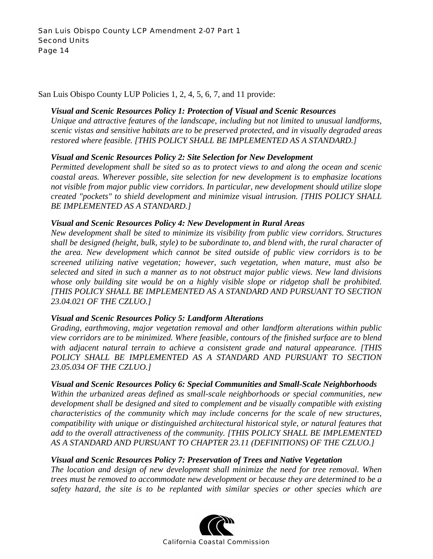San Luis Obispo County LUP Policies 1, 2, 4, 5, 6, 7, and 11 provide:

#### *Visual and Scenic Resources Policy 1: Protection of Visual and Scenic Resources*

*Unique and attractive features of the landscape, including but not limited to unusual landforms, scenic vistas and sensitive habitats are to be preserved protected, and in visually degraded areas restored where feasible. [THIS POLICY SHALL BE IMPLEMENTED AS A STANDARD.]* 

#### *Visual and Scenic Resources Policy 2: Site Selection for New Development*

*Permitted development shall be sited so as to protect views to and along the ocean and scenic coastal areas. Wherever possible, site selection for new development is to emphasize locations not visible from major public view corridors. In particular, new development should utilize slope created "pockets" to shield development and minimize visual intrusion. [THIS POLICY SHALL BE IMPLEMENTED AS A STANDARD.]* 

#### *Visual and Scenic Resources Policy 4: New Development in Rural Areas*

*New development shall be sited to minimize its visibility from public view corridors. Structures shall be designed (height, bulk, style) to be subordinate to, and blend with, the rural character of the area. New development which cannot be sited outside of public view corridors is to be screened utilizing native vegetation; however, such vegetation, when mature, must also be selected and sited in such a manner as to not obstruct major public views. New land divisions whose only building site would be on a highly visible slope or ridgetop shall be prohibited. [THIS POLICY SHALL BE IMPLEMENTED AS A STANDARD AND PURSUANT TO SECTION 23.04.021 OF THE CZLUO.]* 

## *Visual and Scenic Resources Policy 5: Landform Alterations*

*Grading, earthmoving, major vegetation removal and other landform alterations within public view corridors are to be minimized. Where feasible, contours of the finished surface are to blend with adjacent natural terrain to achieve a consistent grade and natural appearance. [THIS*  POLICY SHALL BE IMPLEMENTED AS A STANDARD AND PURSUANT TO SECTION *23.05.034 OF THE CZLUO.]* 

#### *Visual and Scenic Resources Policy 6: Special Communities and Small-Scale Neighborhoods*

*Within the urbanized areas defined as small-scale neighborhoods or special communities, new development shall be designed and sited to complement and be visually compatible with existing characteristics of the community which may include concerns for the scale of new structures, compatibility with unique or distinguished architectural historical style, or natural features that add to the overall attractiveness of the community. [THIS POLICY SHALL BE IMPLEMENTED AS A STANDARD AND PURSUANT TO CHAPTER 23.11 (DEFINITIONS) OF THE CZLUO.]* 

## *Visual and Scenic Resources Policy 7: Preservation of Trees and Native Vegetation*

*The location and design of new development shall minimize the need for tree removal. When trees must be removed to accommodate new development or because they are determined to be a safety hazard, the site is to be replanted with similar species or other species which are* 

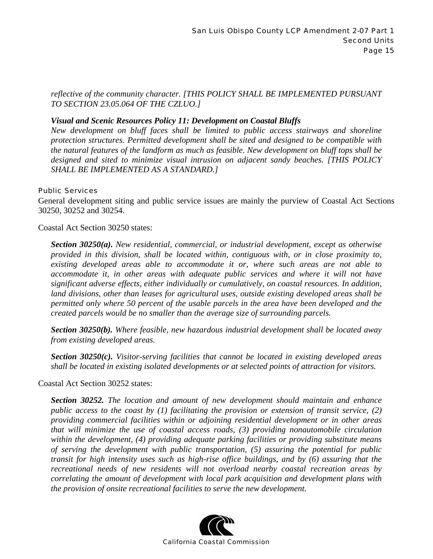*reflective of the community character. [THIS POLICY SHALL BE IMPLEMENTED PURSUANT TO SECTION 23.05.064 OF THE CZLUO.]* 

#### *Visual and Scenic Resources Policy 11: Development on Coastal Bluffs*

*New development on bluff faces shall be limited to public access stairways and shoreline protection structures. Permitted development shall be sited and designed to be compatible with the natural features of the landform as much as feasible. New development on bluff tops shall be designed and sited to minimize visual intrusion on adjacent sandy beaches. [THIS POLICY SHALL BE IMPLEMENTED AS A STANDARD.]* 

#### Public Services

General development siting and public service issues are mainly the purview of Coastal Act Sections 30250, 30252 and 30254.

Coastal Act Section 30250 states:

*Section 30250(a). New residential, commercial, or industrial development, except as otherwise provided in this division, shall be located within, contiguous with, or in close proximity to, existing developed areas able to accommodate it or, where such areas are not able to accommodate it, in other areas with adequate public services and where it will not have significant adverse effects, either individually or cumulatively, on coastal resources. In addition, land divisions, other than leases for agricultural uses, outside existing developed areas shall be permitted only where 50 percent of the usable parcels in the area have been developed and the created parcels would be no smaller than the average size of surrounding parcels.* 

*Section 30250(b). Where feasible, new hazardous industrial development shall be located away from existing developed areas.* 

*Section 30250(c). Visitor-serving facilities that cannot be located in existing developed areas shall be located in existing isolated developments or at selected points of attraction for visitors.* 

#### Coastal Act Section 30252 states:

*Section 30252. The location and amount of new development should maintain and enhance public access to the coast by (1) facilitating the provision or extension of transit service, (2) providing commercial facilities within or adjoining residential development or in other areas that will minimize the use of coastal access roads, (3) providing nonautomobile circulation within the development, (4) providing adequate parking facilities or providing substitute means of serving the development with public transportation, (5) assuring the potential for public transit for high intensity uses such as high-rise office buildings, and by (6) assuring that the recreational needs of new residents will not overload nearby coastal recreation areas by correlating the amount of development with local park acquisition and development plans with the provision of onsite recreational facilities to serve the new development.* 

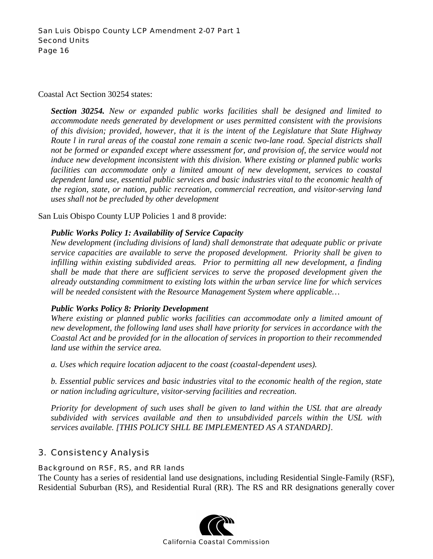#### Coastal Act Section 30254 states:

*Section 30254. New or expanded public works facilities shall be designed and limited to accommodate needs generated by development or uses permitted consistent with the provisions of this division; provided, however, that it is the intent of the Legislature that State Highway Route l in rural areas of the coastal zone remain a scenic two-lane road. Special districts shall not be formed or expanded except where assessment for, and provision of, the service would not induce new development inconsistent with this division. Where existing or planned public works facilities can accommodate only a limited amount of new development, services to coastal dependent land use, essential public services and basic industries vital to the economic health of the region, state, or nation, public recreation, commercial recreation, and visitor-serving land uses shall not be precluded by other development* 

San Luis Obispo County LUP Policies 1 and 8 provide:

#### *Public Works Policy 1: Availability of Service Capacity*

*New development (including divisions of land) shall demonstrate that adequate public or private service capacities are available to serve the proposed development. Priority shall be given to infilling within existing subdivided areas. Prior to permitting all new development, a finding shall be made that there are sufficient services to serve the proposed development given the already outstanding commitment to existing lots within the urban service line for which services will be needed consistent with the Resource Management System where applicable…* 

#### *Public Works Policy 8: Priority Development*

*Where existing or planned public works facilities can accommodate only a limited amount of new development, the following land uses shall have priority for services in accordance with the Coastal Act and be provided for in the allocation of services in proportion to their recommended land use within the service area.* 

*a. Uses which require location adjacent to the coast (coastal-dependent uses).* 

*b. Essential public services and basic industries vital to the economic health of the region, state or nation including agriculture, visitor-serving facilities and recreation.* 

*Priority for development of such uses shall be given to land within the USL that are already subdivided with services available and then to unsubdivided parcels within the USL with services available. [THIS POLICY SHLL BE IMPLEMENTED AS A STANDARD].* 

## 3. Consistency Analysis

#### Background on RSF, RS, and RR lands

The County has a series of residential land use designations, including Residential Single-Family (RSF), Residential Suburban (RS), and Residential Rural (RR). The RS and RR designations generally cover

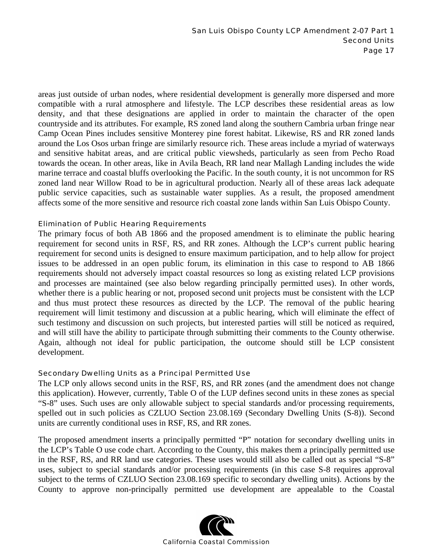areas just outside of urban nodes, where residential development is generally more dispersed and more compatible with a rural atmosphere and lifestyle. The LCP describes these residential areas as low density, and that these designations are applied in order to maintain the character of the open countryside and its attributes. For example, RS zoned land along the southern Cambria urban fringe near Camp Ocean Pines includes sensitive Monterey pine forest habitat. Likewise, RS and RR zoned lands around the Los Osos urban fringe are similarly resource rich. These areas include a myriad of waterways and sensitive habitat areas, and are critical public viewsheds, particularly as seen from Pecho Road towards the ocean. In other areas, like in Avila Beach, RR land near Mallagh Landing includes the wide marine terrace and coastal bluffs overlooking the Pacific. In the south county, it is not uncommon for RS zoned land near Willow Road to be in agricultural production. Nearly all of these areas lack adequate public service capacities, such as sustainable water supplies. As a result, the proposed amendment affects some of the more sensitive and resource rich coastal zone lands within San Luis Obispo County.

#### Elimination of Public Hearing Requirements

The primary focus of both AB 1866 and the proposed amendment is to eliminate the public hearing requirement for second units in RSF, RS, and RR zones. Although the LCP's current public hearing requirement for second units is designed to ensure maximum participation, and to help allow for project issues to be addressed in an open public forum, its elimination in this case to respond to AB 1866 requirements should not adversely impact coastal resources so long as existing related LCP provisions and processes are maintained (see also below regarding principally permitted uses). In other words, whether there is a public hearing or not, proposed second unit projects must be consistent with the LCP and thus must protect these resources as directed by the LCP. The removal of the public hearing requirement will limit testimony and discussion at a public hearing, which will eliminate the effect of such testimony and discussion on such projects, but interested parties will still be noticed as required, and will still have the ability to participate through submitting their comments to the County otherwise. Again, although not ideal for public participation, the outcome should still be LCP consistent development.

#### Secondary Dwelling Units as a Principal Permitted Use

The LCP only allows second units in the RSF, RS, and RR zones (and the amendment does not change this application). However, currently, Table O of the LUP defines second units in these zones as special "S-8" uses. Such uses are only allowable subject to special standards and/or processing requirements, spelled out in such policies as CZLUO Section 23.08.169 (Secondary Dwelling Units (S-8)). Second units are currently conditional uses in RSF, RS, and RR zones.

The proposed amendment inserts a principally permitted "P" notation for secondary dwelling units in the LCP's Table O use code chart. According to the County, this makes them a principally permitted use in the RSF, RS, and RR land use categories. These uses would still also be called out as special "S-8" uses, subject to special standards and/or processing requirements (in this case S-8 requires approval subject to the terms of CZLUO Section 23.08.169 specific to secondary dwelling units). Actions by the County to approve non-principally permitted use development are appealable to the Coastal

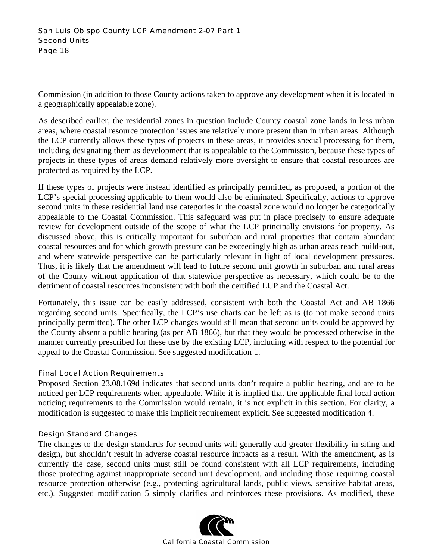Commission (in addition to those County actions taken to approve any development when it is located in a geographically appealable zone).

As described earlier, the residential zones in question include County coastal zone lands in less urban areas, where coastal resource protection issues are relatively more present than in urban areas. Although the LCP currently allows these types of projects in these areas, it provides special processing for them, including designating them as development that is appealable to the Commission, because these types of projects in these types of areas demand relatively more oversight to ensure that coastal resources are protected as required by the LCP.

If these types of projects were instead identified as principally permitted, as proposed, a portion of the LCP's special processing applicable to them would also be eliminated. Specifically, actions to approve second units in these residential land use categories in the coastal zone would no longer be categorically appealable to the Coastal Commission. This safeguard was put in place precisely to ensure adequate review for development outside of the scope of what the LCP principally envisions for property. As discussed above, this is critically important for suburban and rural properties that contain abundant coastal resources and for which growth pressure can be exceedingly high as urban areas reach build-out, and where statewide perspective can be particularly relevant in light of local development pressures. Thus, it is likely that the amendment will lead to future second unit growth in suburban and rural areas of the County without application of that statewide perspective as necessary, which could be to the detriment of coastal resources inconsistent with both the certified LUP and the Coastal Act.

Fortunately, this issue can be easily addressed, consistent with both the Coastal Act and AB 1866 regarding second units. Specifically, the LCP's use charts can be left as is (to not make second units principally permitted). The other LCP changes would still mean that second units could be approved by the County absent a public hearing (as per AB 1866), but that they would be processed otherwise in the manner currently prescribed for these use by the existing LCP, including with respect to the potential for appeal to the Coastal Commission. See suggested modification 1.

#### Final Local Action Requirements

Proposed Section 23.08.169d indicates that second units don't require a public hearing, and are to be noticed per LCP requirements when appealable. While it is implied that the applicable final local action noticing requirements to the Commission would remain, it is not explicit in this section. For clarity, a modification is suggested to make this implicit requirement explicit. See suggested modification 4.

#### Design Standard Changes

The changes to the design standards for second units will generally add greater flexibility in siting and design, but shouldn't result in adverse coastal resource impacts as a result. With the amendment, as is currently the case, second units must still be found consistent with all LCP requirements, including those protecting against inappropriate second unit development, and including those requiring coastal resource protection otherwise (e.g., protecting agricultural lands, public views, sensitive habitat areas, etc.). Suggested modification 5 simply clarifies and reinforces these provisions. As modified, these

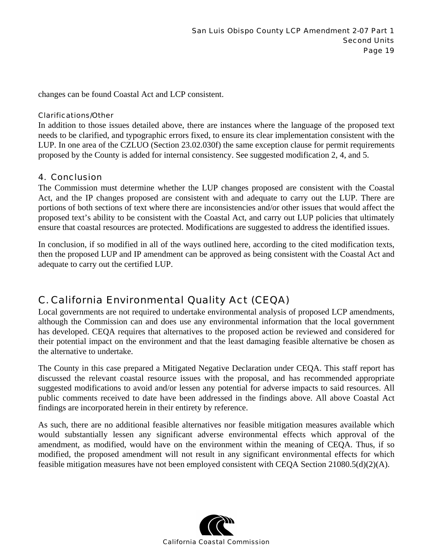changes can be found Coastal Act and LCP consistent.

#### Clarifications/Other

In addition to those issues detailed above, there are instances where the language of the proposed text needs to be clarified, and typographic errors fixed, to ensure its clear implementation consistent with the LUP. In one area of the CZLUO (Section 23.02.030f) the same exception clause for permit requirements proposed by the County is added for internal consistency. See suggested modification 2, 4, and 5.

#### 4. Conclusion

The Commission must determine whether the LUP changes proposed are consistent with the Coastal Act, and the IP changes proposed are consistent with and adequate to carry out the LUP. There are portions of both sections of text where there are inconsistencies and/or other issues that would affect the proposed text's ability to be consistent with the Coastal Act, and carry out LUP policies that ultimately ensure that coastal resources are protected. Modifications are suggested to address the identified issues.

In conclusion, if so modified in all of the ways outlined here, according to the cited modification texts, then the proposed LUP and IP amendment can be approved as being consistent with the Coastal Act and adequate to carry out the certified LUP.

# C. California Environmental Quality Act (CEQA)

Local governments are not required to undertake environmental analysis of proposed LCP amendments, although the Commission can and does use any environmental information that the local government has developed. CEQA requires that alternatives to the proposed action be reviewed and considered for their potential impact on the environment and that the least damaging feasible alternative be chosen as the alternative to undertake.

The County in this case prepared a Mitigated Negative Declaration under CEQA. This staff report has discussed the relevant coastal resource issues with the proposal, and has recommended appropriate suggested modifications to avoid and/or lessen any potential for adverse impacts to said resources. All public comments received to date have been addressed in the findings above. All above Coastal Act findings are incorporated herein in their entirety by reference.

As such, there are no additional feasible alternatives nor feasible mitigation measures available which would substantially lessen any significant adverse environmental effects which approval of the amendment, as modified, would have on the environment within the meaning of CEQA. Thus, if so modified, the proposed amendment will not result in any significant environmental effects for which feasible mitigation measures have not been employed consistent with CEQA Section 21080.5(d)(2)(A).

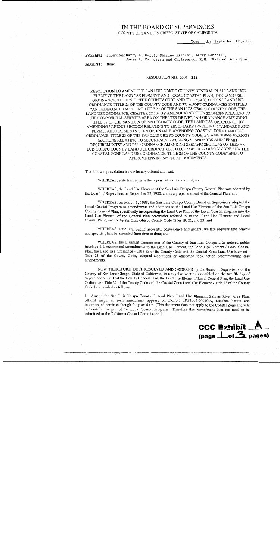#### IN THE BOARD OF SUPERVISORS COUNTY OF SAN LUIS OBISPO, STATE OF CALIFORNIA

Tues day September 12, 20056

PRESENT: Supervisors Harry L. Ovitt, Shirley Bianchi, Jerry Lenthall, James R. Patterson and Chairperson K.H. 'Katcho' Achadjian ABSENT: None

#### RESOLUTION NO. 2006 - 312

RESOLUTION TO AMEND THE SAN LUIS OBISPO COUNTY GENERAL PLAN, LAND USE ELEMENT, THE LAND USE ELEMENT AND LOCAL COASTAL PLAN, THE LAND USE ORDINANCE, TITLE 22 OF THE COUNTY CODE AND THE COASTAL ZONE LAND USE ORDINANCE, TITLE 23 OF THE COUNTY CODE AND TO ADOPT ORDINANCES ENTITLED "AN ORDINANCE AMENDING TITLE 22 OF THE SAN LUIS OBISPO COUNTY CODE, THE LAND USE ORDINANCE, CHAPTER 22.104 BY AMENDING SECTION 22.104.090 RELATING TO THE COMMERCIAL SERVICE AREA ON THEATER DRIVE", "AN ORDINANCE AMENDING TITLE 22 OF THE SAN LUIS OBISPO COUNTY CODE, THE LAND USE ORDINANCE, BY AMENDING VARIOUS SECTION RELATING TO SECONDARY DWELLING STANDARDS AND PERMIT REQUIREMENTS", "AN ORDINANCE AMENDING COASTAL ZONE LAND USE ORDINANCE, TITLE 23 OF THE SAN LUIS OBISPO COUNTY CODE, BY AMENDING VARIOUS SECTIONS RELATING TO SECONDARY DWELLING STANDARDS AND PERMIT REOUIREMENTS" AND "AN ORDINANCE AMENDING SPECIFIC SECTIONS OF THE SAN LUIS OBISPO COUNTY LAND USE ORDINANCE, TITLE 22 OF THE COUNTY CODE AND THE COASTAL ZONE LAND USE ORDINANCE, TITLE 23 OF THE COUNTY CODE" AND TO APPROVE ENVIRONMENTAL DOCUMENTS

The following resolution is now hereby offered and read:

WHEREAS, state law requires that a general plan be adopted; and

WHEREAS, the Land Use Element of the San Luis Obispo County General Plan was adopted by the Board of Supervisors on September 22, 1980, and is a proper element of the General Plan; and

WHEREAS, on March 1, 1988, the San Luis Obispo County Board of Supervisors adopted the Local Coastal Program as amendments and additions to the Land Use Element of the San Luis Obispo County General Plan, specifically incorporating the Land Use Plan of the Local Coastal Program into the Land Use Element of the General Plan hereinafter referred to as the "Land Use Element and Local Coastal Plan", and to the San Luis Obispo County Code Titles 19, 21, and 23; and

WHEREAS, state law, public necessity, convenience and general welfare requires that general and specific plans be amended from time to time; and

WHEREAS, the Planning Commission of the County of San Luis Obispo after noticed public hearings did recommend amendments to the Land Use Element, the Land Use Element / Local Coastal Plan, the Land Use Ordinance - Title 22 of the County Code and the Coastal Zone Land Use Element -Title 23 of the County Code, adopted resolutions or otherwise took action recommending said amendments.

NOW THEREFORE, BE IT RESOLVED AND ORDERED by the Board of Supervisors of the County of San Luis Obispo, State of California, in a regular meeting assembled on the twelfth day of September, 2006, that the County General Plan, the Land Use Element / Local Coastal Plan, the Land Use Ordinance - Title 22 of the County Code and the Coastal Zone Land Use Element - Title 23 of the County Code be amended as follows:

1. Amend the San Luis Obispo County General Plan, Land Use Element, Salinas River Area Plan, official maps, as such amendment appears on Exhibit LRP2004-00010:A, attached hereto and incorporated herein as though fully set forth. [This document does not apply to the Coastal Zone and was not certified as part of the Local Coastal Program. Therefore this amendment does not need to be submitted to the California Coastal Commission.]

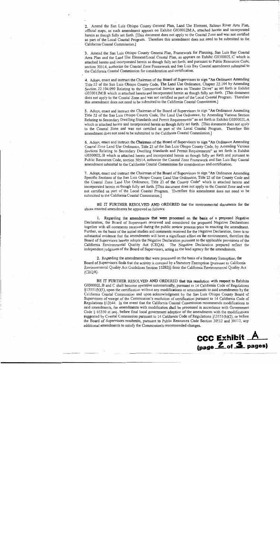2. Amend the San Luis Obispo County General Plan, Land Use Element, Salinas River Area Plan, official maps, as such amendment appears on Exhibit G030012M:A, attached hereto and incorporated herein as though fully set forth. [This document does not apply to the Coastal Zone and was not certified as part of the Local Coastal Program. Therefore this amendment does not need to be submitted to the California Coastal Commission.]

3. Amend the San Luis Obispo County General Plan, Framework for Planning, San Luis Bay Coastal Area Plan and the Land Use Element/Local Coastal Plan, as appears on Exhibit G030002L:C which is attached hereto and incorporated herein as though fully set forth; and pursuant to Public Resources Code, section 30514, authorize the Coastal Zone Framework and San Luis Bay Coastal amendment submittal to the California Coastal Commission for consideration and certification.

4. Adopt, enact and instruct the Chairman of the Board of Supervisors to sign "An Ordinance Amending Title 22 of the San Luis Obispo County Code, The Land Use Ordinance, Chapter 22.104 by Amending Section 22.104.090 Relating to the Commercial Service area on Theater Drive" as set forth in Exhibit G030012M:B which is attached hereto and incorporated herein as though fully set forth. [This document does not apply to the Coastal Zone and was not certified as part of the Local Coastal Program. Therefore this amendment does not need to be submitted to the California Coastal Commission.]

5. Adopt, enact and instruct the Chairman of the Board of Supervisors to sign "An Ordinance Amending Title 22 of the San Luis Obispo County Code, The Land Use Ordinance, by Amending Various Section Relating to Secondary Dwelling Standards and Permit Requirements" as set forth in Exhibit G030002L:A which is attached hereto and incorporated herein as though fully set forth. [This document does not apply to the Coastal Zone and was not certified as part of the Local Coastal Program. Therefore this amendment does not need to be submitted to the California Coastal Commission.]

6. Adopt, enact and instruct the Chairman of the Board of Supervisors to sign "An Ordinance Amending Coastal Zone Land Use Ordinance, Title 23 of the San Luis Obispo County Code, by Amending Various Sections Relating to Secondary Dwelling Standards and Permit Requirements" as set forth in Exhibit G030002L:B which is attached hereto and incorporated herein as though fully set forth and pursuant to Public Resources Code, section 30514, authorize the Coastal Zone Framework and San Luis Bay Coastal amendment submittal to the California Coastal Commission for consideration and certification.

7. Adopt, enact and instruct the Chairman of the Board of Supervisors to sign "An Ordinance Amending Specific Sections of the San Luis Obispo County Land Use Ordinance, Title 22 of the County Code and the Coastal Zone Land Use Ordinance, Title 23 of the County Code" which is attached hereto and incorporated herein as though fully set forth. [This document does not apply to the Coastal Zone and was not certified as part of the Local Coastal Program. Therefore this amendment does not need to be submitted to the California Coastal Commission.]

BE IT FURTHER RESOLVED AND ORDERED that the environmental documents for the above enacted amendments be approved as follows:

1. Regarding the amendments that were processed on the basis of a proposed Negative Declaration, the Board of Supervisors reviewed and considered the proposed Negative Declarations together with all comments received during the public review process prior to enacting the amendment. Further, on the basis of the initial studies and comments received for the Negative Declaration, there is no substantial evidence that the amendments will have a significant effect on the environment, therefore the Board of Supervisors hereby adopts the Negative Declaration pursuant to the applicable provisions of the California Environmental Quality Act (CEQA). The Negative Declaration prepared reflect the independent judgment of the Board of Supervisors, acting as the lead agency for the amendments.

2. Regarding the amendments that were processed on the basis of a Statutory Exemption, the Board of Supervisors finds that the activity is covered by a Statutory Exemption (pursuant to California Environmental Quality Act Guidelines Section 15282(i) from the California Environmental Quality Act (CEQA).

BE IT FURTHER RESOLVED AND ORDERED that this resolution with respect to Exhibits G030002L:B and C shall become operative automatically, pursuant to 14 California Code of Regulations  $\S13551(b)(1)$ , upon the certification without any modifications or amendments to said amendments by the California Coastal Commission and upon acknowledgment by the San Luis Obispo County Board of Supervisors of receipt of the Commission's resolution of certification pursuant to 14 California Code of Regulations §13544. In the event that the California Coastal Commission recommends modifications to said amendments, the amendments with modification shall be processed in accordance with Government Code  $\S$  65350 et seq., before final local government adoption of the amendments with the modifications suggested by Coastal Commission pursuant to 14 California Code of Regulations §13551(b)(2), or before the Board of Supervisors resubmits, pursuant to Public Resources Code Section 30512 and 30513, any additional amendments to satisfy the Commission's recommended changes.

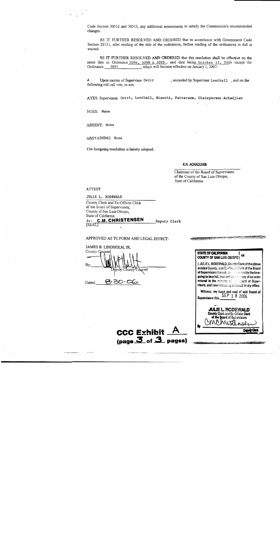Code Section 30512 and 30513, any additional amendments to satisfy the Commission's recommended changes.

BE IT FURTHER RESOLVED AND ORDERED that in accordance with Government Code Section 25131, after reading of the title of the ordinances, further reading of the ordinances in full is waived.

BE IT FURTHER RESOLVED AND ORDERED that this resolution shall be effective on the same date as Ordinance 3096, 3098 & 3099, said date being October 12, 2006 except for Ordinance 3097 , which will become effective on January 1, 2007.

Upon motion of Supervisor Ovitt , seconded by Supervisor Lenthall, and on the following roll call vote, to wit:

AYES: Supervisors Ovitt, Lenthall, Bianchi, Patterson, Chairperson Achadjian

NOES: None

ABSENT: None

ABSTAINING: None

The foregoing resolution is hereby adopted.

#### K.H. ACHADJIAN

Chairman of the Board of Supervisors of the County of San Luis Obispo, State of California

#### **ATTEST**

JULIE L. RODEWALD

County Clerk and Ex-Officio Clerk of the Board of Supervisors, County of San Luis Obispo. State of California **C.M. CHRISTENSEN**  $By:$ 

**SEALT** 

Deputy Clerk

#### APPROVED AS TO FORM AND LEGAL EFFECT:

JAMES B. LINDHOLM, JR. County Counsel By: umt Counsel 8.30.OE Dated:

CCC Exhibit  $\overline{A}$  $_{\text{(page 3 of 3 pages)}}$ 

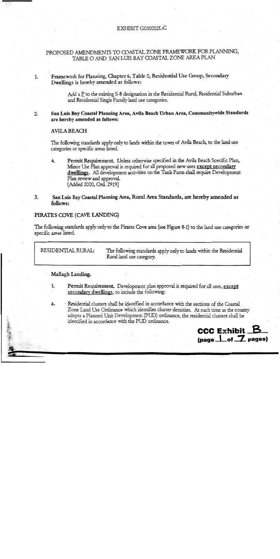#### EXHIBIT G030002L:C

#### PROPOSED AMENDMENTS TO COASTAL ZONE FRAMEWORK FOR PLANNING, TABLE O AND SAN LUIS BAY COASTAL ZONE AREA PLAN

#### Framework for Planning, Chapter 6, Table 0, Residential Use Group, Secondary  $\mathbf{1}$ . Dwellings is hereby amended as follows:

Add a  $\underline{P}$  to the existing S-8 designation in the Residential Rural, Residential Suburban and Residential Single Family land use categories.

#### San Luis Bay Coastal Planning Area, Avila Beach Urban Area, Communitywide Standards  $2.$ are hereby amended as follows:

#### **AVILA BEACH**

The following standards apply only to lands within the town of Avila Beach, to the land use categories or specific areas listed.

Permit Requirement. Unless otherwise specified in the Avila Beach Specific Plan,  $4.$ Minor Use Plan approval is required for all proposed new uses except secondary dwellings. All development activities on the Tank Farm shall require Development Plan review and approval. [Added 2000, Ord. 2919]

#### San Luis Bay Coastal Planning Area, Rural Area Standards, are hereby amended as 3. follows:

#### PIRATES COVE (CAVE LANDING)

The following standards apply only to the Pirates Cove area (see Figure 8-1) to the land use categories or specific areas listed.

RESIDENTIAL RURAL: The following standards apply only to lands within the Residential Rural land use category.

#### Mallagh Landing.

 $1.$ **Permit Requirement.** Development plan approval is required for all uses, except secondary dwellings, to include the following:

· Residential clusters shall be identified in accordance with the sections of the Coastal a. Zone Land Use Ordinance which identifies cluster densities. At such time as the county adopts a Planned Unit Development (PUD) ordinance, the residential clusters shall be identified in accordance with the PUD ordinance.

> **CCC Exhibit \_B**  $(page \n\_\of \n7$  pages)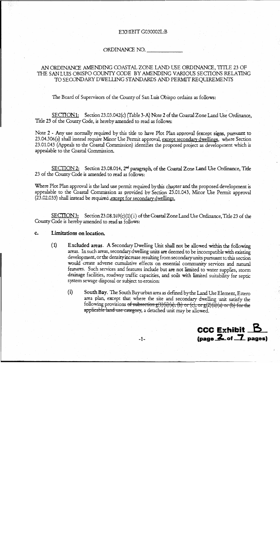#### EXHIBIT G030002L:B

#### ORDINANCE NO.

#### AN ORDINANCE AMENDING COASTAL ZONE LAND USE ORDINANCE, TITLE 23 OF THE SAN LUIS OBISPO COUNTY CODE BY AMENDING VARIOUS SECTIONS RELATING TO SECONDARY DWELLING STANDARDS AND PERMIT REQUIREMENTS

The Board of Supervisors of the County of San Luis Obispo ordains as follows:

SECTION1: Section 23.03.042(c) (Table 3-A) Note 2 of the Coastal Zone Land Use Ordinance, Title 23 of the County Code, is hereby amended to read as follows:

Note 2 - Any use normally required by this title to have Plot Plan approval (except signs, pursuant to 23.04.306(a) shall instead require Minor Use Permit approval, except secondary dwellings, where Section 23.01.043 (Appeals to the Coastal Commission) identifies the proposed project as development which is appealable to the Coastal Commission.

SECTION 2: Section 23.08.014, 2<sup>nd</sup> paragraph, of the Coastal Zone Land Use Ordinance, Title 23 of the County Code is amended to read as follows:

Where Plot Plan approval is the land use permit required by this chapter and the proposed development is appealable to the Coastal Commission as provided by Section 23.01.043, Minor Use Permit approval (23.02.033) shall instead be required , except for secondary dwellings.

 $SECTION3:$  Section 23.08.169(c)(1)(i) of the Coastal Zone Land Use Ordinance, Title 23 of the County Code is hereby amended to read as follows:

- c. Limitations on location.
	- $(1)$ Excluded areas. A Secondary Dwelling Unit shall not be allowed within the following areas. In such areas, secondary dwelling units are deemed to be incompatible with existing development, or the density increase resulting from secondary units pursuant to this section would create adverse cumulative effects on essential community services and natural features. Such services and features include but are not limited to water supplies, storm drainage facilities, roadway traffic capacities, and soils with limited suitability for septic system sewage disposal or subject to erosion:
		- $(i)$ South Bay. The South Bay urban area as defined by the Land Use Element, Estero area plan, except that where the site and secondary dwelling unit satisfy the following provisions of subsection  $g(1)(ii)(a)$ , (b) or (c), or  $g(2)(ii)(a)$  or (b) for the applicable land use category, a detached unit may be allowed.

 $CC$  Exhibit  $B$ (page 2 of 7 pages)

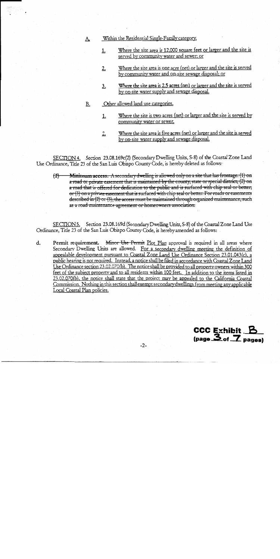- Within the Residential Single-Family category.
	- Where the site area is 12,000 square feet or larger and the site is <u>1.</u> served by community water and sewer; or
	- Where the site area is one acre (net) or larger and the site is served  $2.$ by community water and on-site sewage disposal; or
	- Where the site area is 2.5 acres (net) or larger and the site is served 3. by on-site water supply and sewage disposal.
- Other allowed land use categories. В.

A.

- Where the site is two acres (net) or larger and the site is served by  $1.$ community water or sewer.
- Where the site area is five acres (net) or larger and the site is served  $2.$ by on-site water supply and sewage disposal.

SECTION 4. Section 23.08.169c(2) (Secondary Dwelling Units, S-8) of the Coastal Zone Land Use Ordinance, Title 23 of the San Luis Obispo County Code, is hereby deleted as follows:

**Minimum access.** A secondary dwelling is allowed only on a site that has frontage:  $(1)$  on  $(2)$ a road or private easement that is maintained by the county, state or special district; (2) on a road that is offered for dedication to the public and is surfaced with chip seal or better; or  $(3)$  on a private easement that is surfaced with chip seal or better. For roads or easements described in  $(2)$  or  $(3)$ , the access must be maintained through organized maintenance, such as a road maintenance agreement or homeowners association.

SECTION5. Section 23.08.169d (Secondary Dwelling Units, S-8) of the Coastal Zone Land Use Ordinance, Title 23 of the San Luis Obispo County Code, is hereby amended as follows:

Permit requirement. Minor Use Permit Plot Plan approval is required in all areas where d. Secondary Dwelling Units are allowed. For a secondary dwelling meeting the definition of appealable development pursuant to Coastal Zone Land Use Ordinance Section 23.01.043(c), a public hearing is not required. Instead, a notice shall be filed in accordance with Coastal Zone Land Use Ordinance section 23.02.070(b). The notice shall be provided to all property owners within 300 feet of the subject property and to all residents within 100 feet. In addition to the items listed in 23.02.070(b), the notice shall state that the project may be appealed to the California Coastal Commission. Nothing in this section shall exempt secondary dwellings from meeting any applicable Local Coastal Plan policies.

> CCC Exhibit B  $\overline{\mathbf{3}}_{\text{of}}$   $\overline{\mathbf{7}}_{\text{paqes}}$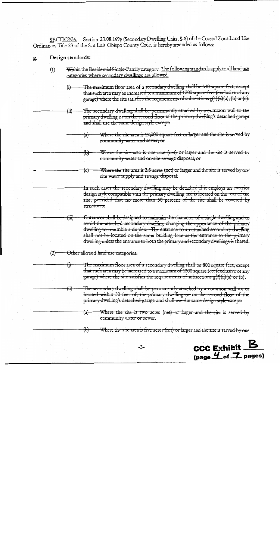SECTION6. Section 23.08.169g (Secondary Dwelling Units, S-8) of the Coastal Zone Land Use Ordinance, Title 23 of the San Luis Obispo County Code, is hereby amended as follows:

#### Design standards: g.

- Within the Residential Single-Family category. The following standards apply to all land use  $(1)$ categories where secondary dwellings are allowed.
	- The maximum floor area of a secondary dwelling shall be 640 square feet, except ₩ that such area may be increased to a maximum of 1200 square feet (exclusive of any garage) where the site satisfies the requirements of subsections  $g(1)(ii)(a)$ , (b) or (c).

The secondary dwelling shall be permanently attached by a common wall to the  $\oplus$ primary dwelling or on the second floor of the primary dwelling's detached garage and shall use the same design style except:

- Where the site area is 12,000 square feet or larger and the site is served by  $\textbf{(a)}$ community water and sewer; or
	- Where the site area is one acre (net) or larger and the site is served by <del>(Ы)</del> community water and on-site sewage disposal; or
	- Where the site area is 2.5 acres (net) or larger and the site is served by on-€ site water supply and sewage disposal.

In such cases the secondary dwelling may be detached if it employs an exterior design style compatible with the primary dwelling and is located on the rear of the site, provided that no more than 50 percent of the site shall be covered by structures:

Entrances shall be designed to maintain the character of a single dwelling and to avoid the attached secondary dwelling changing the appearance of the primary dwelling to resemble a duplex. The entrance to an attached secondary dwelling shall not be located on the same building face as the entrance to the primary dwelling unless the entrance to both the primary and secondary dwellings is shared.

Other allowed land use categories.  $(2)$ 

 $\left(\dddot{\mathbf{m}}\right)$ 

ᡦ

<del>(ii)</del>

The maximum floor area of a secondary dwelling shall be 800 square feet, except that such area may be increased to a maximum of 1200 square feet (exclusive of any garage) where the site satisfies the requirements of subsections  $g(2)(ii)(a)$  or (b).

The secondary dwelling shall be permanently attached by a common wall to, or located within 50 feet of, the primary dwelling or on the second floor of the primary dwelling's detached garage and shall use the same design style except:

Where the site is two acres (net) or larger and the site is served by  $\overline{a}$ community water or sewer.

Where the site area is five acres (net) or larger and the site is served by on-<del>(Ы</del>

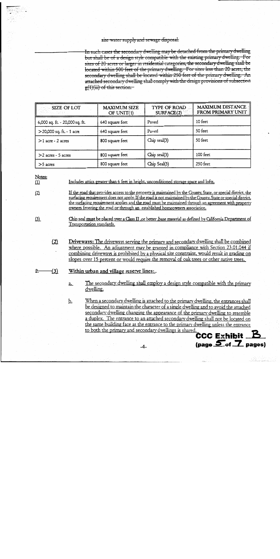#### site water supply and sewage disposal.

In such cases the secondary dwelling may be detached from the primary dwelling but shall be of a design style compatible with the existing primary dwelling. For sites of 20 acres or larger in residential categories, the secondary dwelling shall be located within 500 feet of the primary dwelling. For sites less than 20 acres, the secondary dwelling shall be located within 250 feet of the primary dwelling. An attached secondary dwelling shall comply with the design provisions of subsection  $g(1)(iii)$  of this section.

| SIZE OF LOT                    | <b>MAXIMUM SIZE</b><br>OF UNIT(1) | <b>TYPE OF ROAD</b><br>SURFACE(2) | <b>MAXIMUM DISTANCE</b><br><b>FROM PRIMARY UNIT</b> |
|--------------------------------|-----------------------------------|-----------------------------------|-----------------------------------------------------|
| 6,000 sq. ft. - 20,000 sq. ft. | 640 square feet                   | Paved                             | 10 feet                                             |
| >20,000 sq. ft. - 1 acre       | 640 square feet                   | Paved                             | 50 feet                                             |
| $>1$ acre - 2 acres            | 800 square feet                   | Chip seal(3)                      | 50 feet                                             |
| $>2$ acres - 5 acres           | 800 square feet                   | Chip seal(3)                      | 100 feet                                            |
| $>5$ acres                     | 800 square feet                   | Chip Seal(3)                      | 250 feet                                            |

Notes:

 $(1)$ 

Includes attics greater than 6 feet in height, unconditioned storage space and lofts.

- $(2)$ If the road that provides access to the property is maintained by the County, State, or special district, the surfacing requirement does not apply. If the road is not maintained by the County, State or special district, the surfacing requirement applies and the road must be maintained through an agreement with property owners fronting the road or through an established homeowners association.
- $(3)$

 $\overline{z}$ .

Chip seal must be placed over a Class II, or better, base material as defined by California Department of Transportation standards.

 $(2)$ Driveways: The driveways serving the primary and secondary dwelling shall be combined where possible. An adjustment may be granted in compliance with Section 23.01.044 if combining driveways is prohibited by a physical site constraint, would result in grading on slopes over 15 percent or would require the removal of oak trees or other native trees.

#### $-(3)$ Within urban and village reserve lines...

The secondary dwelling shall employ a design style compatible with the primary a. dwelling.

When a secondary dwelling is attached to the primary dwelling, the entrances shall <u>b.</u> be designed to maintain the character of a single dwelling and to avoid the attached secondary dwelling changing the appearance of the primary dwelling to resemble a duplex. The entrance to an attached secondary dwelling shall not be located on the same building face as the entrance to the primary dwelling unless the entrance to both the primary and secondary dwellings is shared.

 $\overline{\text{CCC Exhibit}}$   $\overline{\text{B}}$  $\frac{5}{2}$  (page  $\frac{5}{2}$  pages)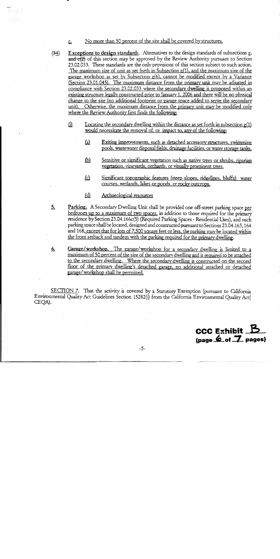#### No more than 50 percent of the site shall be covered by structures.  $\underline{\mathsf{C}}$

- Exceptions to design standards. Alternatives to the design standards of subsections g.  $(34)$  $\frac{1}{\text{and c(2)}}$  of this section may be approved by the Review Authority pursuant to Section 23.02.033. These standards are the only provisions of this section subject to such action. The maximum size of unit as set forth in Subsection  $g(1)$ , and the maximum size of the garage workshop as set by Subsection g(6), cannot be modified except by a Variance (Section 23.01.045). The maximum distance from the primary unit may be adjusted in compliance with Section 23.02.033 where the secondary dwelling is proposed within an existing structure legally constructed prior to January 1, 2006 and there will be no physical change to the site (no additional footprint or garage space added to serve the secondary unit). Otherwise, the maximum distance from the primary unit may be modified only where the Review Authority first finds the following:
	- (1) Locating the secondary dwelling within the distance as set forth in subsection  $g(1)$ would necessitate the removal of, or impact to, any of the following:
		- <u>(a)</u> **Exiting improvements, such as detached accessory structures, swimming** pools, wastewater disposal fields, drainage facilities, or water storage tanks.
		- Sensitive or significant vegetation such as native trees or shrubs, riparian  $\overline{\mathbb{P}}$ vegetation, vineyards, orchards, or visually prominent trees.
		- <u>(c)</u> Significant topographic features (steep slopes, ridgelines, bluffs) water courses, wetlands, lakes or ponds, or rocky outcrops.
		- $(d)$ Archaeological resources
- $5.$ Parking. A Secondary Dwelling Unit shall be provided one off-street parking space per bedroom up to a maximum of two spaces, in addition to those required for the primary residence by Section 23.04.166c(5) (Required Parking Spaces - Residential Uses), and such parking space shall be located, designed and constructed pursuant to Sections 23.04.163, 164 and 168, except that for lots of 7,500 square feet or less, the parking may be located within the front setback and tandem with the parking required for the primary dwelling.
- Garage/workshop. The garage/workshop for a secondary dwelling is limited to a <u>6.</u> maximum of 50 percent of the size of the secondary dwelling and is required to be attached to the secondary dwelling. Where the secondary dwelling is constructed on the second floor of the primary dwelling's detached garage, no additional attached or detached garage/workshop shall be permitted.

SECTION 7. That the activity is covered by a Statutory Exemption (pursuant to California Environmental Quality Act Guidelines Section 15282(i) from the California Environmental Quality Act( CEQA).